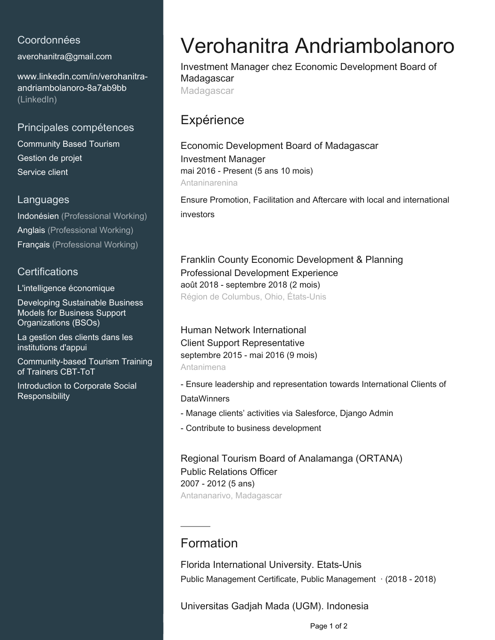### Coordonnées

[averohanitra@gmail.com](mailto:averohanitra@gmail.com)

[www.linkedin.com/in/verohanitra](https://www.linkedin.com/in/verohanitra-andriambolanoro-8a7ab9bb?jobid=1234&lipi=urn%3Ali%3Apage%3Ad_jobs_easyapply_pdfgenresume%3BrmS%2FMVz9T%2F6jd5VYReq2FA%3D%3D&licu=urn%3Ali%3Acontrol%3Ad_jobs_easyapply_pdfgenresume-v02_profile)[andriambolanoro-8a7ab9bb](https://www.linkedin.com/in/verohanitra-andriambolanoro-8a7ab9bb?jobid=1234&lipi=urn%3Ali%3Apage%3Ad_jobs_easyapply_pdfgenresume%3BrmS%2FMVz9T%2F6jd5VYReq2FA%3D%3D&licu=urn%3Ali%3Acontrol%3Ad_jobs_easyapply_pdfgenresume-v02_profile) [\(LinkedIn\)](https://www.linkedin.com/in/verohanitra-andriambolanoro-8a7ab9bb?jobid=1234&lipi=urn%3Ali%3Apage%3Ad_jobs_easyapply_pdfgenresume%3BrmS%2FMVz9T%2F6jd5VYReq2FA%3D%3D&licu=urn%3Ali%3Acontrol%3Ad_jobs_easyapply_pdfgenresume-v02_profile)

#### Principales compétences

Community Based Tourism Gestion de projet Service client

#### **Languages**

Indonésien (Professional Working) Anglais (Professional Working) Français (Professional Working)

### **Certifications**

L'intelligence économique

Developing Sustainable Business Models for Business Support Organizations (BSOs)

La gestion des clients dans les institutions d'appui

Community-based Tourism Training of Trainers CBT-ToT

Introduction to Corporate Social **Responsibility** 

# Verohanitra Andriambolanoro

Investment Manager chez Economic Development Board of Madagascar **Madagascar** 

## **Expérience**

Economic Development Board of Madagascar Investment Manager mai 2016 - Present (5 ans 10 mois) Antaninarenina

Ensure Promotion, Facilitation and Aftercare with local and international investors

Franklin County Economic Development & Planning Professional Development Experience août 2018 - septembre 2018 (2 mois) Région de Columbus, Ohio, États-Unis

Human Network International Client Support Representative septembre 2015 - mai 2016 (9 mois) Antanimena

- Ensure leadership and representation towards International Clients of **DataWinners** 

- Manage clients' activities via Salesforce, Django Admin
- Contribute to business development

Regional Tourism Board of Analamanga (ORTANA) Public Relations Officer 2007 - 2012 (5 ans) Antananarivo, Madagascar

## Formation

Florida International University. Etats-Unis Public Management Certificate, Public Management · (2018 - 2018)

Universitas Gadjah Mada (UGM). Indonesia